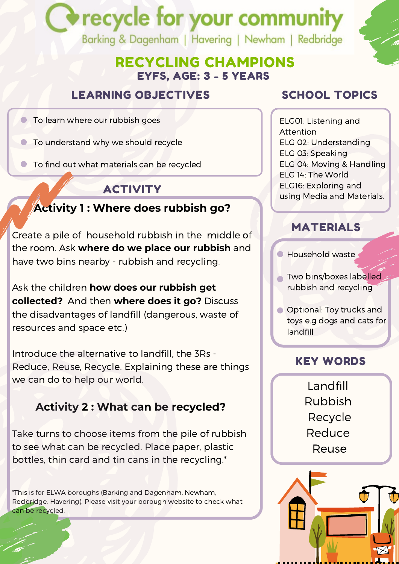# recycle for your communit Barking & Dagenham | Havering | Newham | Redbridge

EYFS, AGE: 3 - 5 YEARS RECYCLING CHAMPIONS

#### LEARNING OBJECTIVES

To learn where our rubbish goes

To understand why we should recycle

To find out what materials can be recycled

#### ACTIVITY

#### **Activity 1 : Where does rubbish go?**

Create a pile of household rubbish in the middle of the room. Ask **where do we place our rubbish** and have two bins nearby - rubbish and recycling.

Ask the children **how does our rubbish get collected?** And then **where does it go?** Discuss the disadvantages of landfill (dangerous, waste of resources and space etc.)

Introduce the alternative to landfill, the 3Rs - Reduce, Reuse, Recycle. Explaining these are things we can do to help our world.

#### **Activity 2 : What can be recycled?**

Take turns to choose items from the pile of rubbish to see what can be recycled. Place paper, plastic bottles, thin card and tin cans in the recycling.\*

\*This is for ELWA boroughs (Barking and Dagenham, Newham, Redbridge, Havering). Please visit your borough website to check what can be recycled.

## SCHOOL TOPICS

ELG01: Listening and Attention ELG 02: Understanding ELG 03: Speaking ELG 04: Moving & Handling ELG 14: The World ELG16: Exploring and using Media and Materials.

#### MATERIALS

- Household waste
- **Two bins/boxes labelled** rubbish and recycling
- **O** Optional: Toy trucks and toys e.g dogs and cats for landfill

#### KEY WORDS

Landfill Rubbish Recycle Reduce Reuse